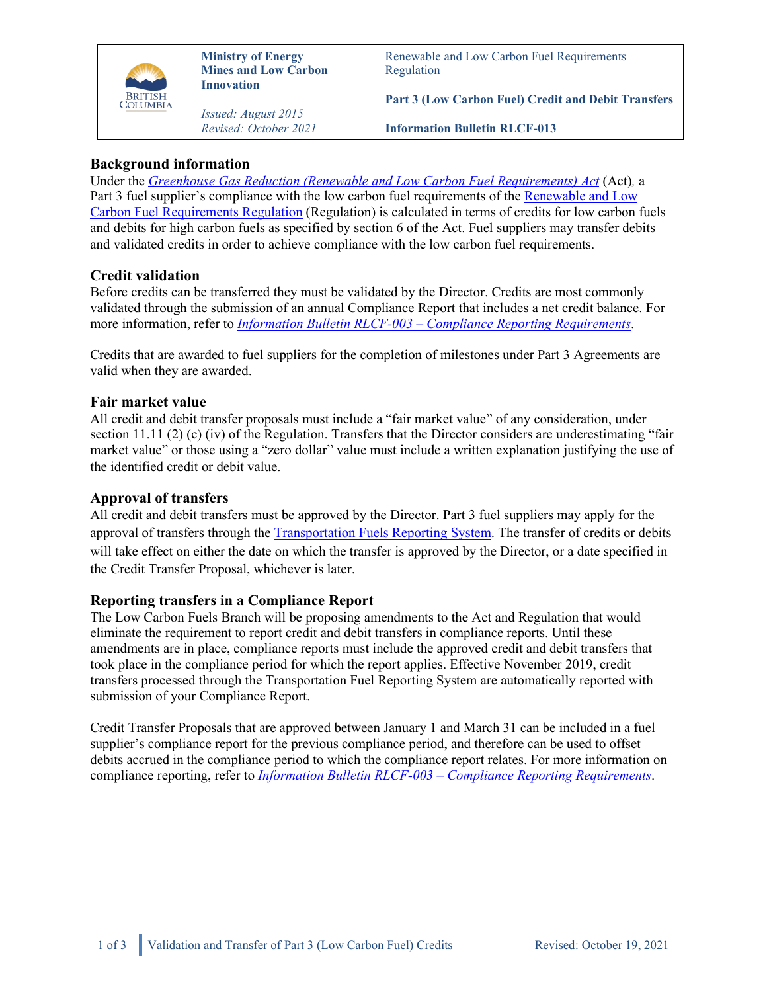

## **Background information**

Under the*[Greenhouse Gas Reduction \(Renewable and Low Carbon Fuel Requirements\) Act](http://www.bclaws.ca/EPLibraries/bclaws_new/document/ID/freeside/00_08016_01)* (Act)*,* a Part 3 fuel supplier's compliance with the low carbon fuel requirements of th[e Renewable and Low](http://www.bclaws.ca/EPLibraries/bclaws_new/document/ID/freeside/394_2008)  [Carbon Fuel Requirements Regulation](http://www.bclaws.ca/EPLibraries/bclaws_new/document/ID/freeside/394_2008) (Regulation) is calculated in terms of credits for low carbon fuels and debits for high carbon fuels as specified by section 6 of the Act. Fuel suppliers may transfer debits and validated credits in order to achieve compliance with the low carbon fuel requirements.

# **Credit validation**

Before credits can be transferred they must be validated by the Director. Credits are most commonly validated through the submission of an annual Compliance Report that includes a net credit balance. For more information, refer to *[Information Bulletin RLCF-003](http://www2.gov.bc.ca/assets/gov/farming-natural-resources-and-industry/electricity-alternative-energy/transportation/renewable-low-carbon-fuels/rlcf-003.pdf) – [Compliance Reporting Requirements](http://www2.gov.bc.ca/assets/gov/farming-natural-resources-and-industry/electricity-alternative-energy/transportation/renewable-low-carbon-fuels/rlcf-003.pdf)*.

Credits that are awarded to fuel suppliers for the completion of milestones under Part 3 Agreements are valid when they are awarded.

## **Fair market value**

All credit and debit transfer proposals must include a "fair market value" of any consideration, under section 11.11 (2) (c) (iv) of the Regulation. Transfers that the Director considers are underestimating "fair market value" or those using a "zero dollar" value must include a written explanation justifying the use of the identified credit or debit value.

## **Approval of transfers**

All credit and debit transfers must be approved by the Director. Part 3 fuel suppliers may apply for the approval of transfers through the [Transportation Fuels Reporting System.](https://www2.gov.bc.ca/gov/content/industry/electricity-alternative-energy/transportation-energies/renewable-low-carbon-fuels/transportation-fuels-reporting-system) The transfer of credits or debits will take effect on either the date on which the transfer is approved by the Director, or a date specified in the Credit Transfer Proposal, whichever is later.

## **Reporting transfers in a Compliance Report**

The Low Carbon Fuels Branch will be proposing amendments to the Act and Regulation that would eliminate the requirement to report credit and debit transfers in compliance reports. Until these amendments are in place, compliance reports must include the approved credit and debit transfers that took place in the compliance period for which the report applies. Effective November 2019, credit transfers processed through the Transportation Fuel Reporting System are automatically reported with submission of your Compliance Report.

Credit Transfer Proposals that are approved between January 1 and March 31 can be included in a fuel supplier's compliance report for the previous compliance period, and therefore can be used to offset debits accrued in the compliance period to which the compliance report relates. For more information on compliance reporting, refer to *[Information Bulletin RLCF-003 –](http://www2.gov.bc.ca/assets/gov/farming-natural-resources-and-industry/electricity-alternative-energy/transportation/renewable-low-carbon-fuels/rlcf-003.pdf) [Compliance Reporting Requirements](http://www2.gov.bc.ca/assets/gov/farming-natural-resources-and-industry/electricity-alternative-energy/transportation/renewable-low-carbon-fuels/rlcf-003.pdf)*.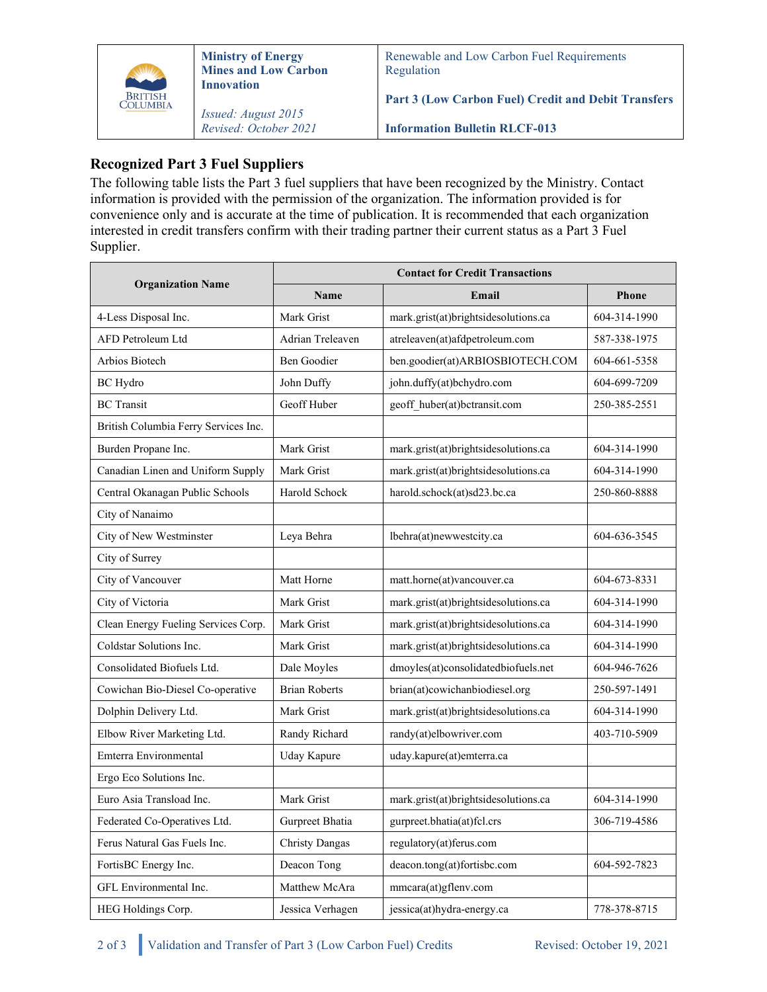

# **Recognized Part 3 Fuel Suppliers**

The following table lists the Part 3 fuel suppliers that have been recognized by the Ministry. Contact information is provided with the permission of the organization. The information provided is for convenience only and is accurate at the time of publication. It is recommended that each organization interested in credit transfers confirm with their trading partner their current status as a Part 3 Fuel Supplier.

| <b>Organization Name</b>             | <b>Contact for Credit Transactions</b> |                                      |              |
|--------------------------------------|----------------------------------------|--------------------------------------|--------------|
|                                      | <b>Name</b>                            | Email                                | <b>Phone</b> |
| 4-Less Disposal Inc.                 | Mark Grist                             | mark.grist(at)brightsidesolutions.ca | 604-314-1990 |
| AFD Petroleum Ltd                    | Adrian Treleaven                       | atreleaven(at)afdpetroleum.com       | 587-338-1975 |
| Arbios Biotech                       | Ben Goodier                            | ben.goodier(at)ARBIOSBIOTECH.COM     | 604-661-5358 |
| <b>BC</b> Hydro                      | John Duffy                             | john.duffy(at)bchydro.com            | 604-699-7209 |
| <b>BC</b> Transit                    | Geoff Huber                            | geoff huber(at)bctransit.com         | 250-385-2551 |
| British Columbia Ferry Services Inc. |                                        |                                      |              |
| Burden Propane Inc.                  | Mark Grist                             | mark.grist(at)brightsidesolutions.ca | 604-314-1990 |
| Canadian Linen and Uniform Supply    | Mark Grist                             | mark.grist(at)brightsidesolutions.ca | 604-314-1990 |
| Central Okanagan Public Schools      | Harold Schock                          | harold.schock(at)sd23.bc.ca          | 250-860-8888 |
| City of Nanaimo                      |                                        |                                      |              |
| City of New Westminster              | Leya Behra                             | lbehra(at)newwestcity.ca             | 604-636-3545 |
| City of Surrey                       |                                        |                                      |              |
| City of Vancouver                    | Matt Horne                             | matt.horne(at)vancouver.ca           | 604-673-8331 |
| City of Victoria                     | Mark Grist                             | mark.grist(at)brightsidesolutions.ca | 604-314-1990 |
| Clean Energy Fueling Services Corp.  | Mark Grist                             | mark.grist(at)brightsidesolutions.ca | 604-314-1990 |
| Coldstar Solutions Inc.              | Mark Grist                             | mark.grist(at)brightsidesolutions.ca | 604-314-1990 |
| Consolidated Biofuels Ltd.           | Dale Moyles                            | dmoyles(at)consolidatedbiofuels.net  | 604-946-7626 |
| Cowichan Bio-Diesel Co-operative     | <b>Brian Roberts</b>                   | brian(at)cowichanbiodiesel.org       | 250-597-1491 |
| Dolphin Delivery Ltd.                | Mark Grist                             | mark.grist(at)brightsidesolutions.ca | 604-314-1990 |
| Elbow River Marketing Ltd.           | Randy Richard                          | randy(at)elbowriver.com              | 403-710-5909 |
| Emterra Environmental                | <b>Uday Kapure</b>                     | uday.kapure(at)emterra.ca            |              |
| Ergo Eco Solutions Inc.              |                                        |                                      |              |
| Euro Asia Transload Inc.             | Mark Grist                             | mark.grist(at)brightsidesolutions.ca | 604-314-1990 |
| Federated Co-Operatives Ltd.         | Gurpreet Bhatia                        | gurpreet.bhatia(at)fcl.crs           | 306-719-4586 |
| Ferus Natural Gas Fuels Inc.         | <b>Christy Dangas</b>                  | regulatory(at)ferus.com              |              |
| FortisBC Energy Inc.                 | Deacon Tong                            | deacon.tong(at)fortisbc.com          | 604-592-7823 |
| GFL Environmental Inc.               | Matthew McAra                          | mmcara(at)gflenv.com                 |              |
| HEG Holdings Corp.                   | Jessica Verhagen                       | jessica(at)hydra-energy.ca           | 778-378-8715 |